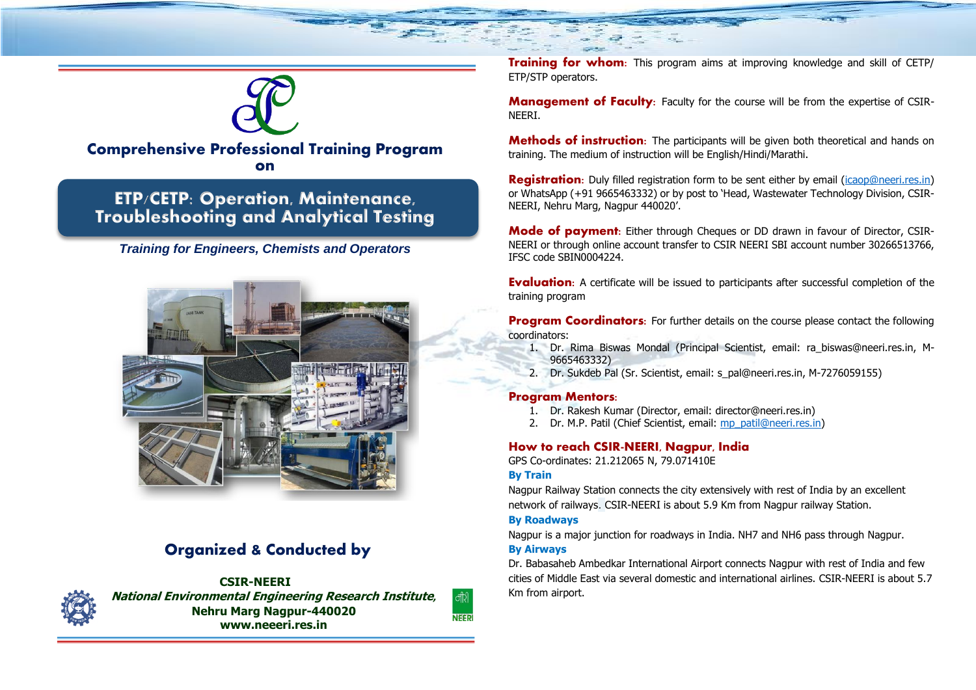

## **Comprehensive Professional Training Program on**

## **ETP/CETP: Operation, Maintenance, Troubleshooting and Analytical Testing**

## *Training for Engineers, Chemists and Operators*



# **Organized & Conducted by**



**CSIR-NEERI National Environmental Engineering Research Institute***,* **Nehru Marg Nagpur-440020 www.neeeri.res.in**

**Training for whom:** This program aims at improving knowledge and skill of CETP/ ETP/STP operators.

**Management of Faculty:** Faculty for the course will be from the expertise of CSIR-NEERI.

**Methods of instruction:** The participants will be given both theoretical and hands on training. The medium of instruction will be English/Hindi/Marathi.

**Registration:** Duly filled registration form to be sent either by email [\(icaop@neeri.res.in\)](mailto:icaop@neeri.res.in) or WhatsApp (+91 9665463332) or by post to 'Head, Wastewater Technology Division, CSIR-NEERI, Nehru Marg, Nagpur 440020'.

**Mode of payment:** Either through Cheques or DD drawn in favour of Director, CSIR-NEERI or through online account transfer to CSIR NEERI SBI account number 30266513766, IFSC code SBIN0004224.

**Evaluation:** A certificate will be issued to participants after successful completion of the training program

**Program Coordinators:** For further details on the course please contact the following coordinators:

- 1. Dr. Rima Biswas Mondal (Principal Scientist, email: ra\_biswas@neeri.res.in, M-9665463332)
- 2. Dr. Sukdeb Pal (Sr. Scientist, email: s\_pal@neeri.res.in, M-7276059155)

### **Program Mentors:**

- 1. Dr. Rakesh Kumar (Director, email: director@neeri.res.in)
- 2. Dr. M.P. Patil (Chief Scientist, email: [mp\\_patil@neeri.res.in\)](mailto:mp_patil@neeri.res.in)

### **How to reach CSIR-NEERI, Nagpur, India**

GPS Co-ordinates: 21.212065 N, 79.071410E

### **By Train**

Nagpur Railway Station connects the city extensively with rest of India by an excellent network of railways. CSIR-NEERI is about 5.9 Km from Nagpur railway Station.

#### **By Roadways**

Nagpur is a major junction for roadways in India. NH7 and NH6 pass through Nagpur.

### **By Airways**

|<br>नीरी **NEER**  Dr. Babasaheb Ambedkar International Airport connects Nagpur with rest of India and few cities of Middle East via several domestic and international airlines. CSIR-NEERI is about 5.7 Km from airport.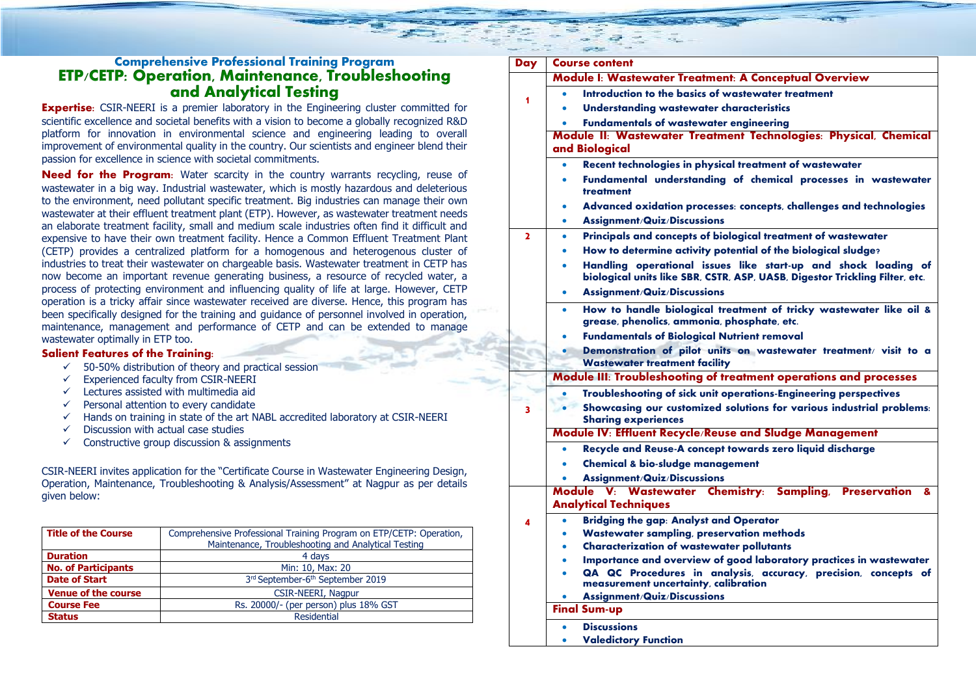### **Comprehensive Professional Training Program ETP/CETP: Operation, Maintenance, Troubleshooting and Analytical Testing**

**Expertise:** CSIR-NEERI is a premier laboratory in the Engineering cluster committed for scientific excellence and societal benefits with a vision to become a globally recognized R&D platform for innovation in environmental science and engineering leading to overall improvement of environmental quality in the country. Our scientists and engineer blend their passion for excellence in science with societal commitments.

**Need for the Program:** Water scarcity in the country warrants recycling, reuse of wastewater in a big way. Industrial wastewater, which is mostly hazardous and deleterious to the environment, need pollutant specific treatment. Big industries can manage their own wastewater at their effluent treatment plant (ETP). However, as wastewater treatment needs an elaborate treatment facility, small and medium scale industries often find it difficult and expensive to have their own treatment facility. Hence a Common Effluent Treatment Plant (CETP) provides a centralized platform for a homogenous and heterogenous cluster of industries to treat their wastewater on chargeable basis. Wastewater treatment in CETP has now become an important revenue generating business, a resource of recycled water, a process of protecting environment and influencing quality of life at large. However, CETP operation is a tricky affair since wastewater received are diverse. Hence, this program has been specifically designed for the training and guidance of personnel involved in operation, maintenance, management and performance of CETP and can be extended to manage wastewater optimally in ETP too.

#### **Salient Features of the Training:**

- $\checkmark$  50-50% distribution of theory and practical session
- ✓ Experienced faculty from CSIR-NEERI
- ✓ Lectures assisted with multimedia aid
- $\checkmark$  Personal attention to every candidate
- $\checkmark$  Hands on training in state of the art NABL accredited laboratory at CSIR-NEERI
- $\checkmark$  Discussion with actual case studies
- $\checkmark$  Constructive group discussion & assignments

CSIR-NEERI invites application for the "Certificate Course in Wastewater Engineering Design, Operation, Maintenance, Troubleshooting & Analysis/Assessment" at Nagpur as per details given below:

| <b>Title of the Course</b> | Comprehensive Professional Training Program on ETP/CETP: Operation,<br>Maintenance, Troubleshooting and Analytical Testing |
|----------------------------|----------------------------------------------------------------------------------------------------------------------------|
| <b>Duration</b>            | 4 days                                                                                                                     |
| <b>No. of Participants</b> | Min: 10, Max: 20                                                                                                           |
| <b>Date of Start</b>       | 3rd September-6th September 2019                                                                                           |
| <b>Venue of the course</b> | CSIR-NEERI, Nagpur                                                                                                         |
| <b>Course Fee</b>          | Rs. 20000/- (per person) plus 18% GST                                                                                      |
| <b>Status</b>              | Residential                                                                                                                |

| Day | <b>Course content</b>                                                                                                                          |  |  |
|-----|------------------------------------------------------------------------------------------------------------------------------------------------|--|--|
|     | Module I: Wastewater Treatment: A Conceptual Overview                                                                                          |  |  |
|     | Introduction to the basics of wastewater treatment                                                                                             |  |  |
|     | <b>Understanding wastewater characteristics</b>                                                                                                |  |  |
|     | <b>Fundamentals of wastewater engineering</b>                                                                                                  |  |  |
|     | Module II: Wastewater Treatment Technologies: Physical, Chemical                                                                               |  |  |
|     | and Biological                                                                                                                                 |  |  |
|     | Recent technologies in physical treatment of wastewater                                                                                        |  |  |
|     | Fundamental understanding of chemical processes in wastewater<br>٠<br>treatment                                                                |  |  |
|     | Advanced oxidation processes: concepts, challenges and technologies                                                                            |  |  |
|     | <b>Assignment/Quiz/Discussions</b><br>٠                                                                                                        |  |  |
| 2   | Principals and concepts of biological treatment of wastewater                                                                                  |  |  |
|     | How to determine activity potential of the biological sludge?                                                                                  |  |  |
|     | Handling operational issues like start-up and shock loading of<br>biological units like SBR, CSTR, ASP, UASB, Digestor Trickling Filter, etc.  |  |  |
|     | Assignment/Quiz/Discussions                                                                                                                    |  |  |
|     | How to handle biological treatment of tricky wastewater like oil &<br>$\bullet$<br>grease, phenolics, ammonia, phosphate, etc.                 |  |  |
|     | <b>Fundamentals of Biological Nutrient removal</b>                                                                                             |  |  |
|     | Demonstration of pilot units on wastewater treatment/ visit to a                                                                               |  |  |
|     | <b>Wastewater treatment facility</b>                                                                                                           |  |  |
|     | Module III: Troubleshooting of treatment operations and processes                                                                              |  |  |
|     | Troubleshooting of sick unit operations-Engineering perspectives                                                                               |  |  |
| 3   | Showcasing our customized solutions for various industrial problems:<br><b>Sharing experiences</b>                                             |  |  |
|     | Module IV: Effluent Recycle/Reuse and Sludge Management                                                                                        |  |  |
|     | Recycle and Reuse-A concept towards zero liquid discharge                                                                                      |  |  |
|     | <b>Chemical &amp; bio-sludge management</b>                                                                                                    |  |  |
|     | Assignment/Quiz/Discussions                                                                                                                    |  |  |
|     | Module V: Wastewater Chemistry: Sampling, Preservation<br>&                                                                                    |  |  |
|     | <b>Analytical Techniques</b>                                                                                                                   |  |  |
|     | <b>Bridging the gap: Analyst and Operator</b>                                                                                                  |  |  |
|     | <b>Wastewater sampling, preservation methods</b>                                                                                               |  |  |
|     | <b>Characterization of wastewater pollutants</b>                                                                                               |  |  |
|     | Importance and overview of good laboratory practices in wastewater<br>۰<br>QA QC Procedures in analysis, accuracy, precision, concepts of<br>٠ |  |  |
|     | measurement uncertainty, calibration                                                                                                           |  |  |
|     | Assignment/Quiz/Discussions                                                                                                                    |  |  |
|     | <b>Final Sum-up</b>                                                                                                                            |  |  |
|     | <b>Discussions</b>                                                                                                                             |  |  |
|     | <b>Valedictory Function</b>                                                                                                                    |  |  |